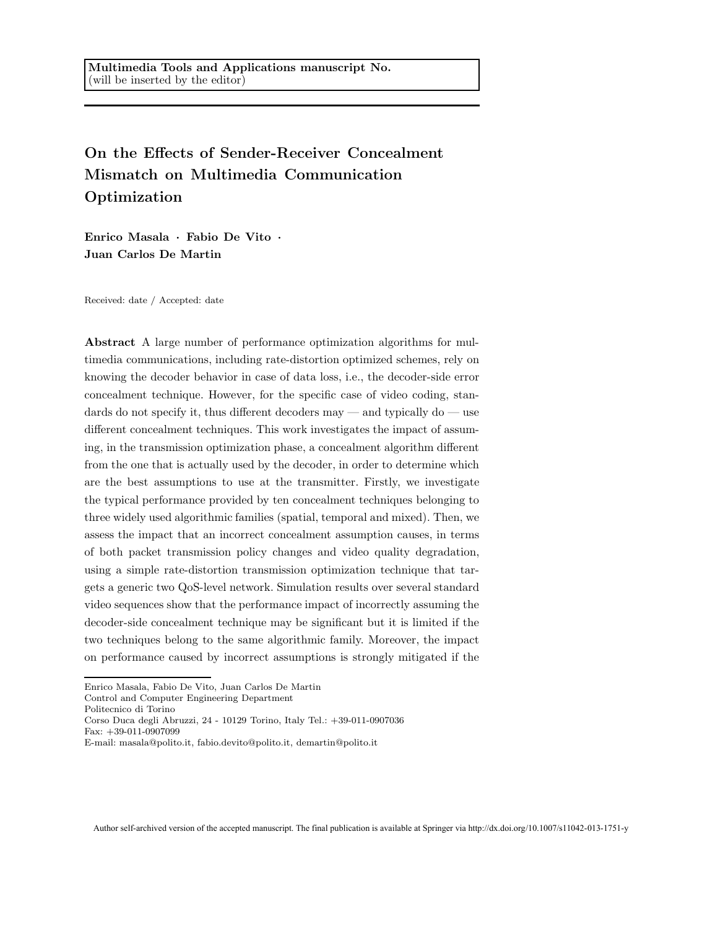### On the Effects of Sender-Receiver Concealment Mismatch on Multimedia Communication Optimization

Enrico Masala · Fabio De Vito · Juan Carlos De Martin

Received: date / Accepted: date

Abstract A large number of performance optimization algorithms for multimedia communications, including rate-distortion optimized schemes, rely on knowing the decoder behavior in case of data loss, i.e., the decoder-side error concealment technique. However, for the specific case of video coding, standards do not specify it, thus different decoders may — and typically do — use different concealment techniques. This work investigates the impact of assuming, in the transmission optimization phase, a concealment algorithm different from the one that is actually used by the decoder, in order to determine which are the best assumptions to use at the transmitter. Firstly, we investigate the typical performance provided by ten concealment techniques belonging to three widely used algorithmic families (spatial, temporal and mixed). Then, we assess the impact that an incorrect concealment assumption causes, in terms of both packet transmission policy changes and video quality degradation, using a simple rate-distortion transmission optimization technique that targets a generic two QoS-level network. Simulation results over several standard video sequences show that the performance impact of incorrectly assuming the decoder-side concealment technique may be significant but it is limited if the two techniques belong to the same algorithmic family. Moreover, the impact on performance caused by incorrect assumptions is strongly mitigated if the

Politecnico di Torino

Fax: +39-011-0907099

Enrico Masala, Fabio De Vito, Juan Carlos De Martin

Control and Computer Engineering Department

Corso Duca degli Abruzzi, 24 - 10129 Torino, Italy Tel.: +39-011-0907036

E-mail: masala@polito.it, fabio.devito@polito.it, demartin@polito.it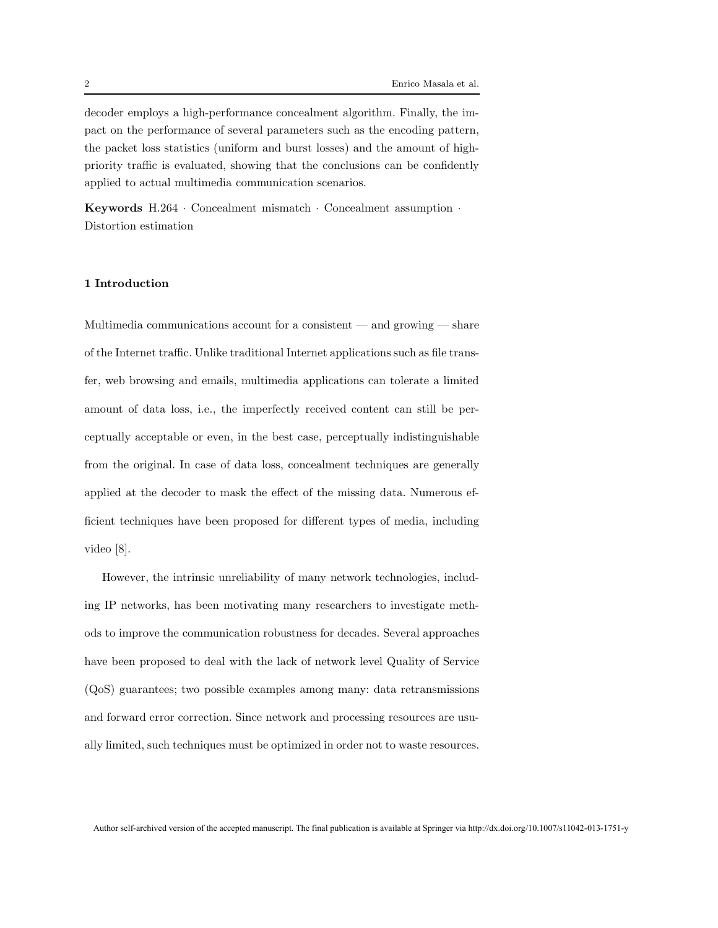decoder employs a high-performance concealment algorithm. Finally, the impact on the performance of several parameters such as the encoding pattern, the packet loss statistics (uniform and burst losses) and the amount of highpriority traffic is evaluated, showing that the conclusions can be confidently applied to actual multimedia communication scenarios.

Keywords H.264 · Concealment mismatch · Concealment assumption · Distortion estimation

#### 1 Introduction

Multimedia communications account for a consistent  $-$  and growing  $-$  share of the Internet traffic. Unlike traditional Internet applications such as file transfer, web browsing and emails, multimedia applications can tolerate a limited amount of data loss, i.e., the imperfectly received content can still be perceptually acceptable or even, in the best case, perceptually indistinguishable from the original. In case of data loss, concealment techniques are generally applied at the decoder to mask the effect of the missing data. Numerous efficient techniques have been proposed for different types of media, including video [8].

However, the intrinsic unreliability of many network technologies, including IP networks, has been motivating many researchers to investigate methods to improve the communication robustness for decades. Several approaches have been proposed to deal with the lack of network level Quality of Service (QoS) guarantees; two possible examples among many: data retransmissions and forward error correction. Since network and processing resources are usually limited, such techniques must be optimized in order not to waste resources.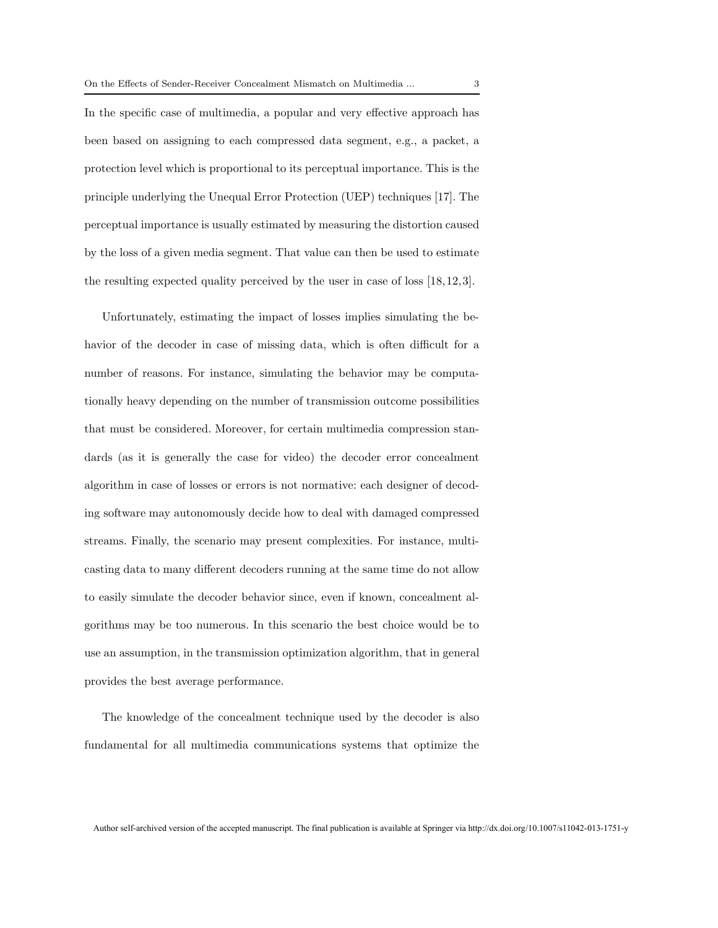In the specific case of multimedia, a popular and very effective approach has been based on assigning to each compressed data segment, e.g., a packet, a protection level which is proportional to its perceptual importance. This is the principle underlying the Unequal Error Protection (UEP) techniques [17]. The perceptual importance is usually estimated by measuring the distortion caused by the loss of a given media segment. That value can then be used to estimate the resulting expected quality perceived by the user in case of loss [18,12,3].

Unfortunately, estimating the impact of losses implies simulating the behavior of the decoder in case of missing data, which is often difficult for a number of reasons. For instance, simulating the behavior may be computationally heavy depending on the number of transmission outcome possibilities that must be considered. Moreover, for certain multimedia compression standards (as it is generally the case for video) the decoder error concealment algorithm in case of losses or errors is not normative: each designer of decoding software may autonomously decide how to deal with damaged compressed streams. Finally, the scenario may present complexities. For instance, multicasting data to many different decoders running at the same time do not allow to easily simulate the decoder behavior since, even if known, concealment algorithms may be too numerous. In this scenario the best choice would be to use an assumption, in the transmission optimization algorithm, that in general provides the best average performance.

The knowledge of the concealment technique used by the decoder is also fundamental for all multimedia communications systems that optimize the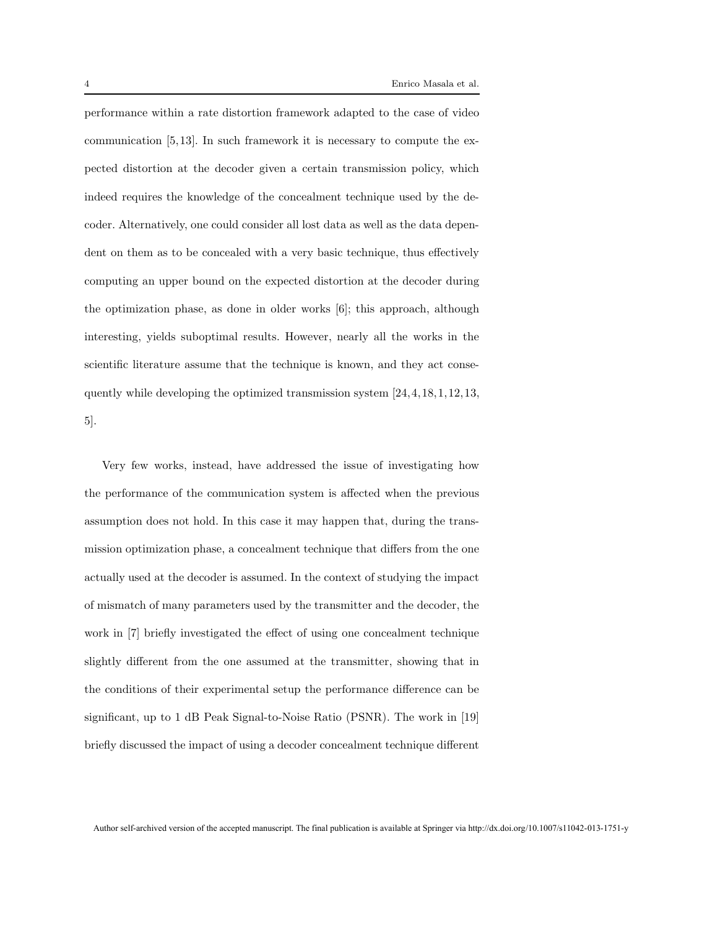performance within a rate distortion framework adapted to the case of video communication [5,13]. In such framework it is necessary to compute the expected distortion at the decoder given a certain transmission policy, which indeed requires the knowledge of the concealment technique used by the decoder. Alternatively, one could consider all lost data as well as the data dependent on them as to be concealed with a very basic technique, thus effectively computing an upper bound on the expected distortion at the decoder during the optimization phase, as done in older works [6]; this approach, although interesting, yields suboptimal results. However, nearly all the works in the scientific literature assume that the technique is known, and they act consequently while developing the optimized transmission system [24,4,18,1,12,13, 5].

Very few works, instead, have addressed the issue of investigating how the performance of the communication system is affected when the previous assumption does not hold. In this case it may happen that, during the transmission optimization phase, a concealment technique that differs from the one actually used at the decoder is assumed. In the context of studying the impact of mismatch of many parameters used by the transmitter and the decoder, the work in [7] briefly investigated the effect of using one concealment technique slightly different from the one assumed at the transmitter, showing that in the conditions of their experimental setup the performance difference can be significant, up to 1 dB Peak Signal-to-Noise Ratio (PSNR). The work in [19] briefly discussed the impact of using a decoder concealment technique different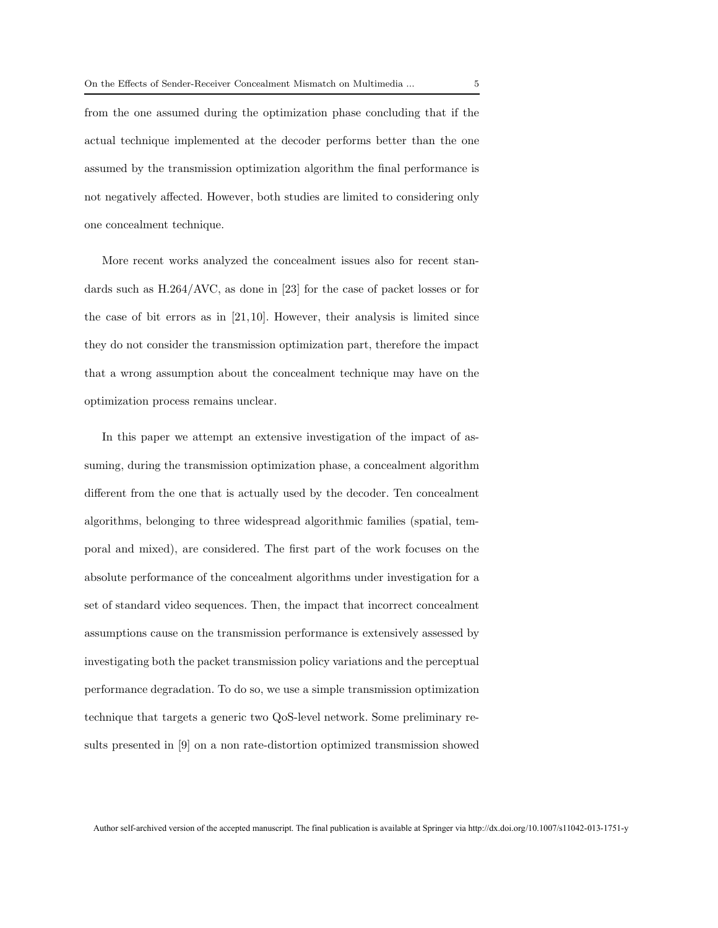from the one assumed during the optimization phase concluding that if the actual technique implemented at the decoder performs better than the one assumed by the transmission optimization algorithm the final performance is not negatively affected. However, both studies are limited to considering only one concealment technique.

More recent works analyzed the concealment issues also for recent standards such as H.264/AVC, as done in [23] for the case of packet losses or for the case of bit errors as in  $[21,10]$ . However, their analysis is limited since they do not consider the transmission optimization part, therefore the impact that a wrong assumption about the concealment technique may have on the optimization process remains unclear.

In this paper we attempt an extensive investigation of the impact of assuming, during the transmission optimization phase, a concealment algorithm different from the one that is actually used by the decoder. Ten concealment algorithms, belonging to three widespread algorithmic families (spatial, temporal and mixed), are considered. The first part of the work focuses on the absolute performance of the concealment algorithms under investigation for a set of standard video sequences. Then, the impact that incorrect concealment assumptions cause on the transmission performance is extensively assessed by investigating both the packet transmission policy variations and the perceptual performance degradation. To do so, we use a simple transmission optimization technique that targets a generic two QoS-level network. Some preliminary results presented in [9] on a non rate-distortion optimized transmission showed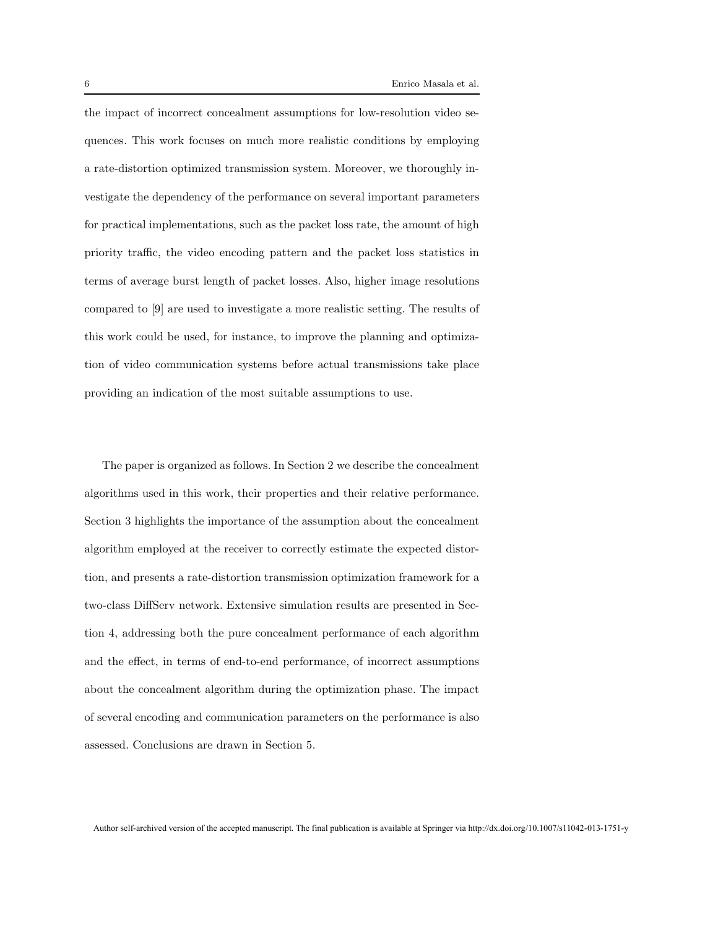the impact of incorrect concealment assumptions for low-resolution video sequences. This work focuses on much more realistic conditions by employing a rate-distortion optimized transmission system. Moreover, we thoroughly investigate the dependency of the performance on several important parameters for practical implementations, such as the packet loss rate, the amount of high priority traffic, the video encoding pattern and the packet loss statistics in terms of average burst length of packet losses. Also, higher image resolutions compared to [9] are used to investigate a more realistic setting. The results of this work could be used, for instance, to improve the planning and optimization of video communication systems before actual transmissions take place providing an indication of the most suitable assumptions to use.

The paper is organized as follows. In Section 2 we describe the concealment algorithms used in this work, their properties and their relative performance. Section 3 highlights the importance of the assumption about the concealment algorithm employed at the receiver to correctly estimate the expected distortion, and presents a rate-distortion transmission optimization framework for a two-class DiffServ network. Extensive simulation results are presented in Section 4, addressing both the pure concealment performance of each algorithm and the effect, in terms of end-to-end performance, of incorrect assumptions about the concealment algorithm during the optimization phase. The impact of several encoding and communication parameters on the performance is also assessed. Conclusions are drawn in Section 5.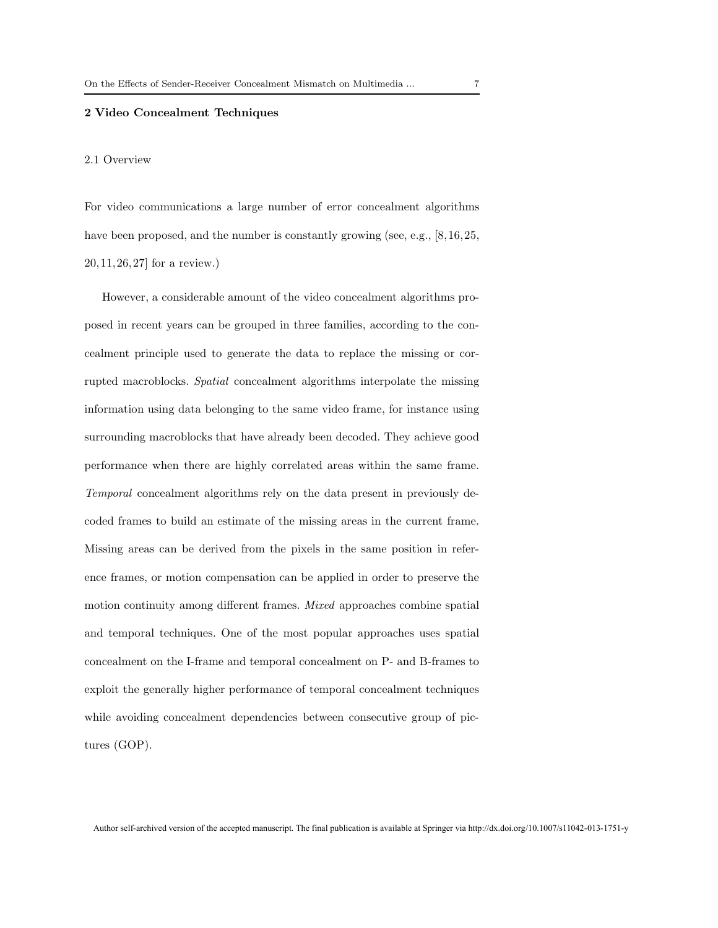#### 2 Video Concealment Techniques

#### 2.1 Overview

For video communications a large number of error concealment algorithms have been proposed, and the number is constantly growing (see, e.g., [8,16,25,]) 20,11,26,27] for a review.)

However, a considerable amount of the video concealment algorithms proposed in recent years can be grouped in three families, according to the concealment principle used to generate the data to replace the missing or corrupted macroblocks. Spatial concealment algorithms interpolate the missing information using data belonging to the same video frame, for instance using surrounding macroblocks that have already been decoded. They achieve good performance when there are highly correlated areas within the same frame. Temporal concealment algorithms rely on the data present in previously decoded frames to build an estimate of the missing areas in the current frame. Missing areas can be derived from the pixels in the same position in reference frames, or motion compensation can be applied in order to preserve the motion continuity among different frames. Mixed approaches combine spatial and temporal techniques. One of the most popular approaches uses spatial concealment on the I-frame and temporal concealment on P- and B-frames to exploit the generally higher performance of temporal concealment techniques while avoiding concealment dependencies between consecutive group of pictures (GOP).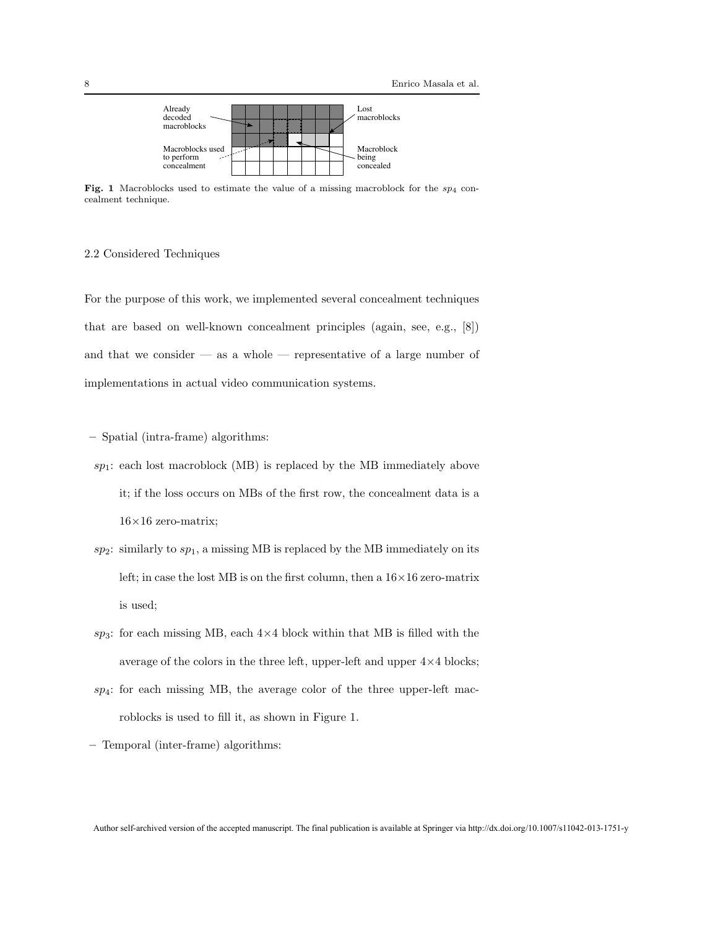

Fig. 1 Macroblocks used to estimate the value of a missing macroblock for the  $sp_4$  concealment technique.

#### 2.2 Considered Techniques

For the purpose of this work, we implemented several concealment techniques that are based on well-known concealment principles (again, see, e.g., [8]) and that we consider  $-$  as a whole  $-$  representative of a large number of implementations in actual video communication systems.

- Spatial (intra-frame) algorithms:
- $sp_1$ : each lost macroblock (MB) is replaced by the MB immediately above it; if the loss occurs on MBs of the first row, the concealment data is a  $16\times16$  zero-matrix;
- $sp_2$ : similarly to  $sp_1$ , a missing MB is replaced by the MB immediately on its left; in case the lost MB is on the first column, then a  $16\times16$  zero-matrix is used;
- $sp_3$ : for each missing MB, each  $4\times4$  block within that MB is filled with the average of the colors in the three left, upper-left and upper  $4\times4$  blocks;
- $sp_4$ : for each missing MB, the average color of the three upper-left macroblocks is used to fill it, as shown in Figure 1.

– Temporal (inter-frame) algorithms: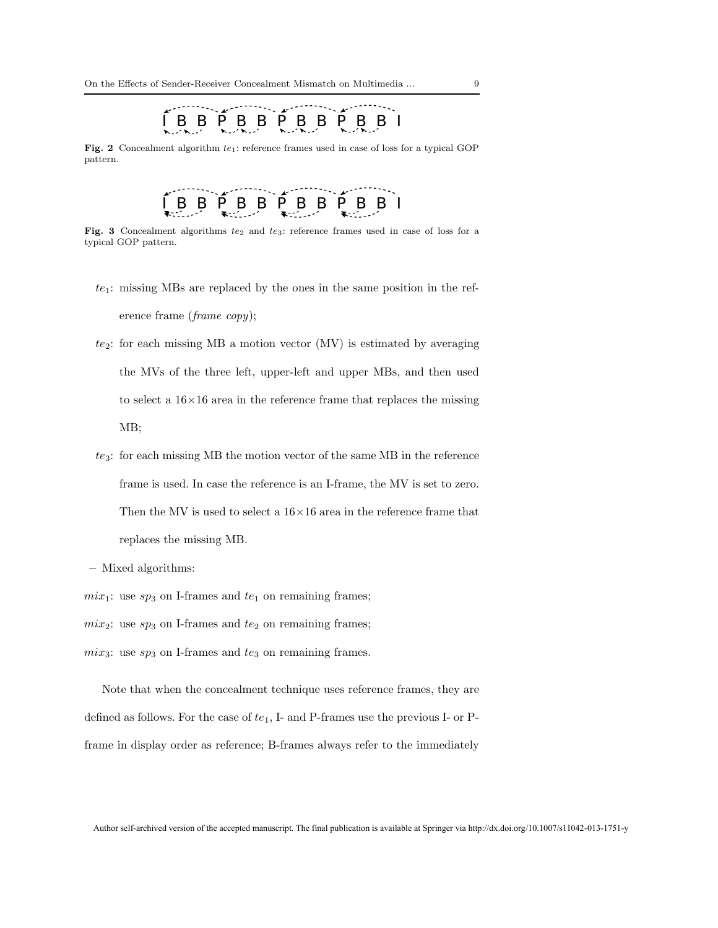## I B B P B B P B B P B B I

Fig. 2 Concealment algorithm  $te_1$ : reference frames used in case of loss for a typical GOP pattern.

# $B$   $B$   $\uparrow$   $B$   $B$   $\uparrow$   $B$   $B$   $\uparrow$   $B$   $B$   $I$

Fig. 3 Concealment algorithms  $te_2$  and  $te_3$ : reference frames used in case of loss for a typical GOP pattern.

- $te_1$ : missing MBs are replaced by the ones in the same position in the reference frame (frame copy);
- $te_2$ : for each missing MB a motion vector (MV) is estimated by averaging the MVs of the three left, upper-left and upper MBs, and then used to select a  $16\times16$  area in the reference frame that replaces the missing MB;
- $te_3$ : for each missing MB the motion vector of the same MB in the reference frame is used. In case the reference is an I-frame, the MV is set to zero. Then the MV is used to select a  $16\times16$  area in the reference frame that replaces the missing MB.
- Mixed algorithms:

 $mix_1$ : use  $sp_3$  on I-frames and  $te_1$  on remaining frames;

 $mix_2$ : use  $sp_3$  on I-frames and  $te_2$  on remaining frames;

 $mix_3$ : use  $sp_3$  on I-frames and  $te_3$  on remaining frames.

Note that when the concealment technique uses reference frames, they are defined as follows. For the case of  $te_1$ , I- and P-frames use the previous I- or Pframe in display order as reference; B-frames always refer to the immediately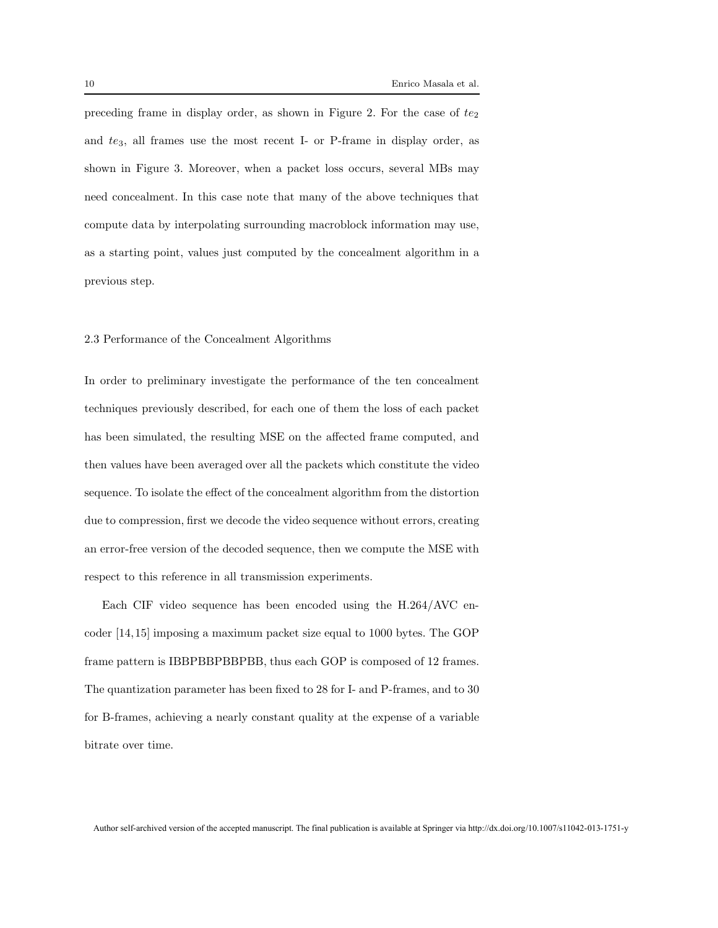preceding frame in display order, as shown in Figure 2. For the case of  $te_2$ and  $te_3$ , all frames use the most recent I- or P-frame in display order, as shown in Figure 3. Moreover, when a packet loss occurs, several MBs may need concealment. In this case note that many of the above techniques that compute data by interpolating surrounding macroblock information may use, as a starting point, values just computed by the concealment algorithm in a previous step.

#### 2.3 Performance of the Concealment Algorithms

In order to preliminary investigate the performance of the ten concealment techniques previously described, for each one of them the loss of each packet has been simulated, the resulting MSE on the affected frame computed, and then values have been averaged over all the packets which constitute the video sequence. To isolate the effect of the concealment algorithm from the distortion due to compression, first we decode the video sequence without errors, creating an error-free version of the decoded sequence, then we compute the MSE with respect to this reference in all transmission experiments.

Each CIF video sequence has been encoded using the H.264/AVC encoder [14,15] imposing a maximum packet size equal to 1000 bytes. The GOP frame pattern is IBBPBBPBBPBB, thus each GOP is composed of 12 frames. The quantization parameter has been fixed to 28 for I- and P-frames, and to 30 for B-frames, achieving a nearly constant quality at the expense of a variable bitrate over time.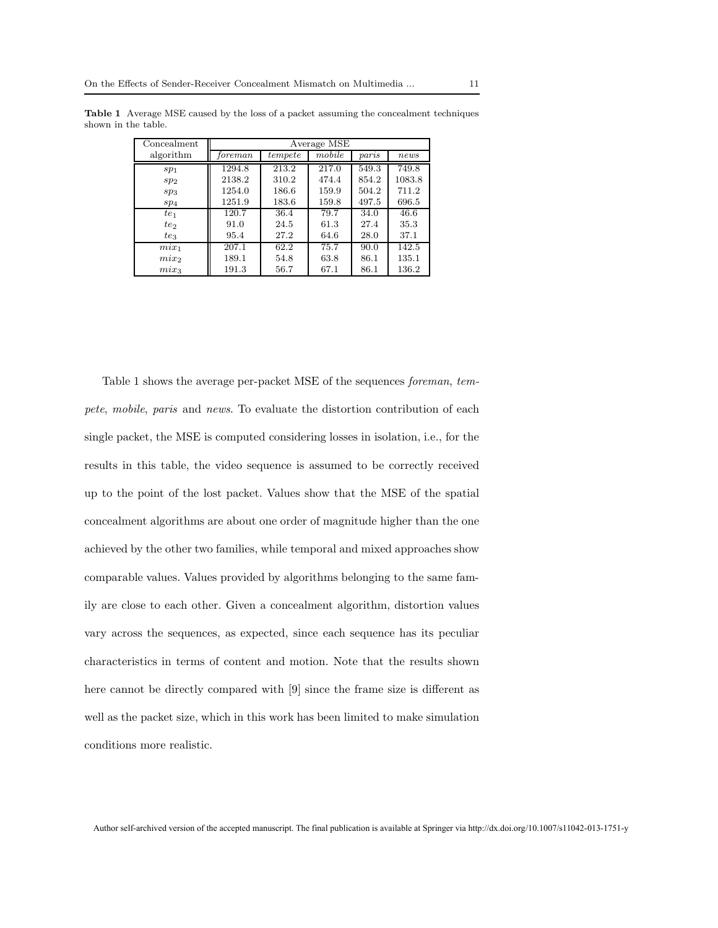| Concealment     | Average MSE |         |        |       |        |  |
|-----------------|-------------|---------|--------|-------|--------|--|
| algorithm       | foreman     | tempete | mobile | paris | news   |  |
| sp <sub>1</sub> | 1294.8      | 213.2   | 217.0  | 549.3 | 749.8  |  |
| sp <sub>2</sub> | 2138.2      | 310.2   | 474.4  | 854.2 | 1083.8 |  |
| $sp_3$          | 1254.0      | 186.6   | 159.9  | 504.2 | 711.2  |  |
| sp <sub>4</sub> | 1251.9      | 183.6   | 159.8  | 497.5 | 696.5  |  |
| te <sub>1</sub> | 120.7       | 36.4    | 79.7   | 34.0  | 46.6   |  |
| $te_2$          | 91.0        | 24.5    | 61.3   | 27.4  | 35.3   |  |
| te <sub>3</sub> | 95.4        | 27.2    | 64.6   | 28.0  | 37.1   |  |
| $mix_1$         | 207.1       | 62.2    | 75.7   | 90.0  | 142.5  |  |
| $mix_2$         | 189.1       | 54.8    | 63.8   | 86.1  | 135.1  |  |
| $mix_3$         | 191.3       | 56.7    | 67.1   | 86.1  | 136.2  |  |

Table 1 Average MSE caused by the loss of a packet assuming the concealment techniques shown in the table.

Table 1 shows the average per-packet MSE of the sequences foreman, tempete, mobile, paris and news. To evaluate the distortion contribution of each single packet, the MSE is computed considering losses in isolation, i.e., for the results in this table, the video sequence is assumed to be correctly received up to the point of the lost packet. Values show that the MSE of the spatial concealment algorithms are about one order of magnitude higher than the one achieved by the other two families, while temporal and mixed approaches show comparable values. Values provided by algorithms belonging to the same family are close to each other. Given a concealment algorithm, distortion values vary across the sequences, as expected, since each sequence has its peculiar characteristics in terms of content and motion. Note that the results shown here cannot be directly compared with [9] since the frame size is different as well as the packet size, which in this work has been limited to make simulation conditions more realistic.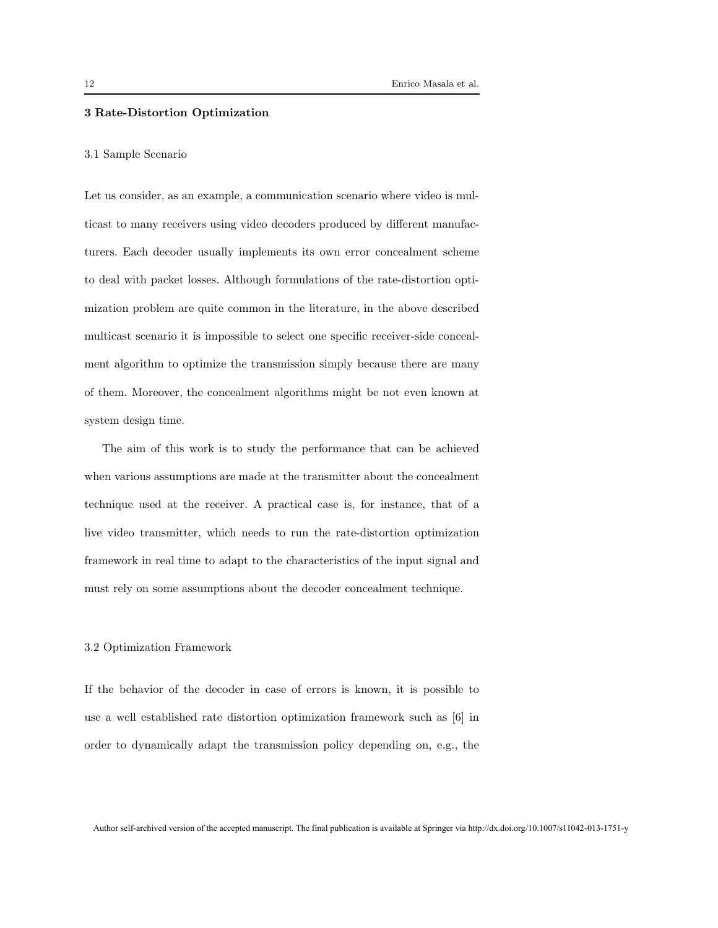#### 3 Rate-Distortion Optimization

#### 3.1 Sample Scenario

Let us consider, as an example, a communication scenario where video is multicast to many receivers using video decoders produced by different manufacturers. Each decoder usually implements its own error concealment scheme to deal with packet losses. Although formulations of the rate-distortion optimization problem are quite common in the literature, in the above described multicast scenario it is impossible to select one specific receiver-side concealment algorithm to optimize the transmission simply because there are many of them. Moreover, the concealment algorithms might be not even known at system design time.

The aim of this work is to study the performance that can be achieved when various assumptions are made at the transmitter about the concealment technique used at the receiver. A practical case is, for instance, that of a live video transmitter, which needs to run the rate-distortion optimization framework in real time to adapt to the characteristics of the input signal and must rely on some assumptions about the decoder concealment technique.

#### 3.2 Optimization Framework

If the behavior of the decoder in case of errors is known, it is possible to use a well established rate distortion optimization framework such as [6] in order to dynamically adapt the transmission policy depending on, e.g., the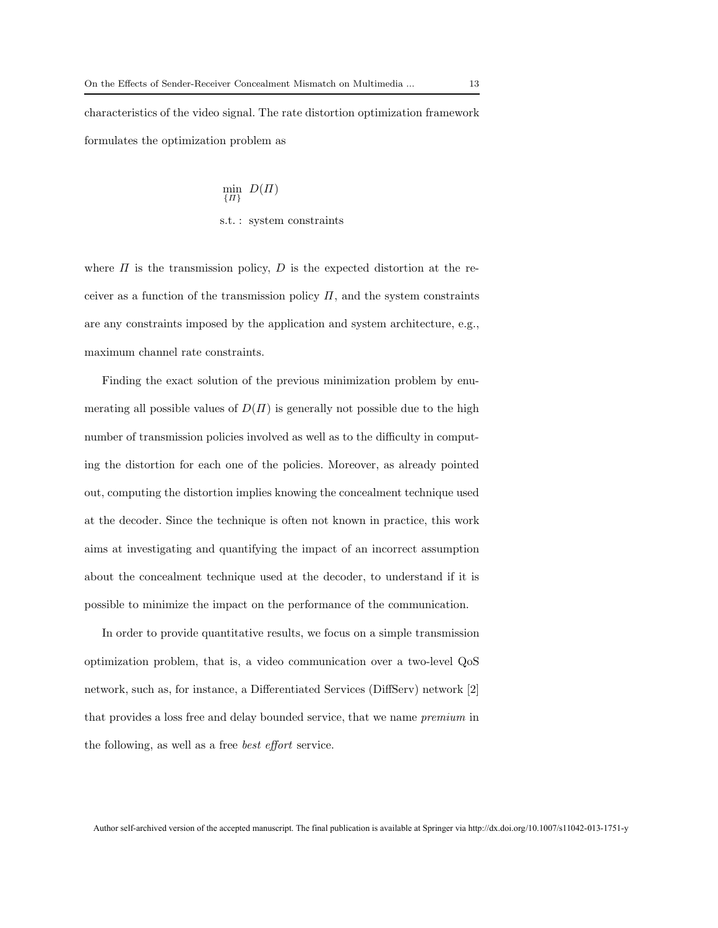characteristics of the video signal. The rate distortion optimization framework formulates the optimization problem as

$$
\min_{\{H\}} D(H)
$$
  
s.t. : system constraints

where  $\Pi$  is the transmission policy,  $D$  is the expected distortion at the receiver as a function of the transmission policy  $\Pi$ , and the system constraints are any constraints imposed by the application and system architecture, e.g., maximum channel rate constraints.

Finding the exact solution of the previous minimization problem by enumerating all possible values of  $D(\Pi)$  is generally not possible due to the high number of transmission policies involved as well as to the difficulty in computing the distortion for each one of the policies. Moreover, as already pointed out, computing the distortion implies knowing the concealment technique used at the decoder. Since the technique is often not known in practice, this work aims at investigating and quantifying the impact of an incorrect assumption about the concealment technique used at the decoder, to understand if it is possible to minimize the impact on the performance of the communication.

In order to provide quantitative results, we focus on a simple transmission optimization problem, that is, a video communication over a two-level QoS network, such as, for instance, a Differentiated Services (DiffServ) network [2] that provides a loss free and delay bounded service, that we name premium in the following, as well as a free best effort service.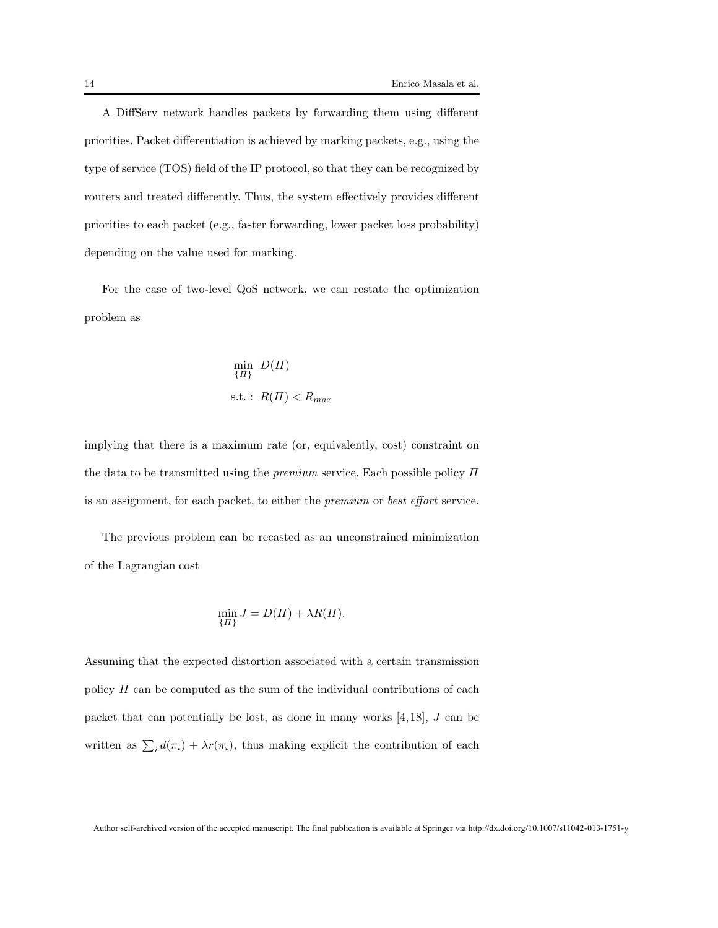A DiffServ network handles packets by forwarding them using different priorities. Packet differentiation is achieved by marking packets, e.g., using the type of service (TOS) field of the IP protocol, so that they can be recognized by routers and treated differently. Thus, the system effectively provides different priorities to each packet (e.g., faster forwarding, lower packet loss probability) depending on the value used for marking.

For the case of two-level QoS network, we can restate the optimization problem as

$$
\min_{\{H\}} D(\Pi)
$$
  
s.t. :  $R(\Pi) < R_{max}$ 

implying that there is a maximum rate (or, equivalently, cost) constraint on the data to be transmitted using the *premium* service. Each possible policy  $\Pi$ is an assignment, for each packet, to either the premium or best effort service.

The previous problem can be recasted as an unconstrained minimization of the Lagrangian cost

$$
\min_{\{H\}} J = D(H) + \lambda R(H).
$$

Assuming that the expected distortion associated with a certain transmission policy  $\Pi$  can be computed as the sum of the individual contributions of each packet that can potentially be lost, as done in many works  $[4,18]$ , J can be written as  $\sum_i d(\pi_i) + \lambda r(\pi_i)$ , thus making explicit the contribution of each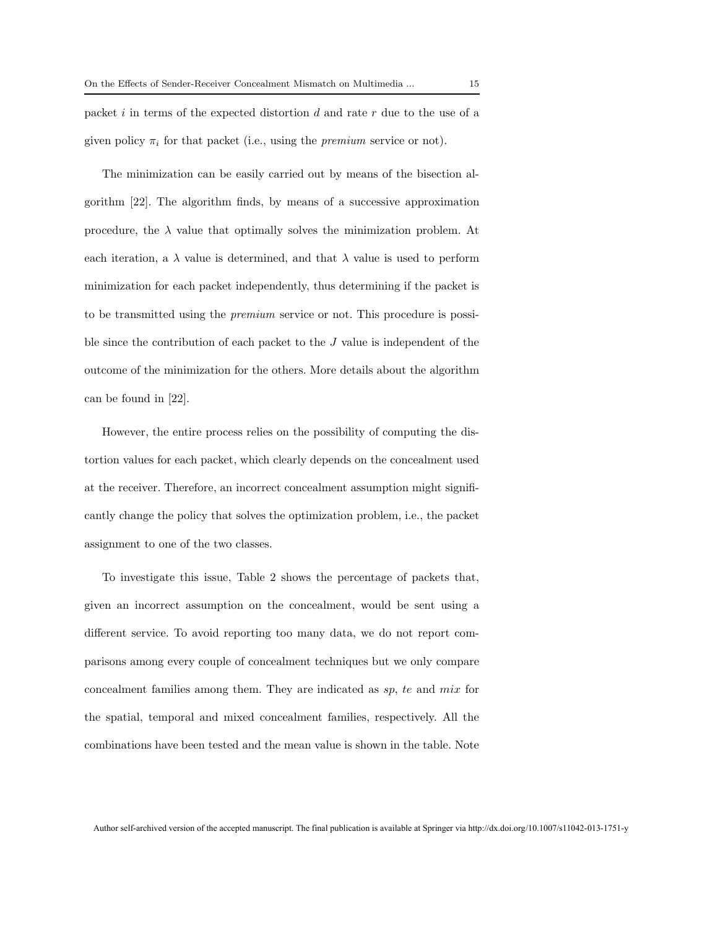packet  $i$  in terms of the expected distortion  $d$  and rate  $r$  due to the use of a given policy  $\pi_i$  for that packet (i.e., using the *premium* service or not).

The minimization can be easily carried out by means of the bisection algorithm [22]. The algorithm finds, by means of a successive approximation procedure, the  $\lambda$  value that optimally solves the minimization problem. At each iteration, a  $\lambda$  value is determined, and that  $\lambda$  value is used to perform minimization for each packet independently, thus determining if the packet is to be transmitted using the premium service or not. This procedure is possible since the contribution of each packet to the J value is independent of the outcome of the minimization for the others. More details about the algorithm can be found in [22].

However, the entire process relies on the possibility of computing the distortion values for each packet, which clearly depends on the concealment used at the receiver. Therefore, an incorrect concealment assumption might significantly change the policy that solves the optimization problem, i.e., the packet assignment to one of the two classes.

To investigate this issue, Table 2 shows the percentage of packets that, given an incorrect assumption on the concealment, would be sent using a different service. To avoid reporting too many data, we do not report comparisons among every couple of concealment techniques but we only compare concealment families among them. They are indicated as sp, te and mix for the spatial, temporal and mixed concealment families, respectively. All the combinations have been tested and the mean value is shown in the table. Note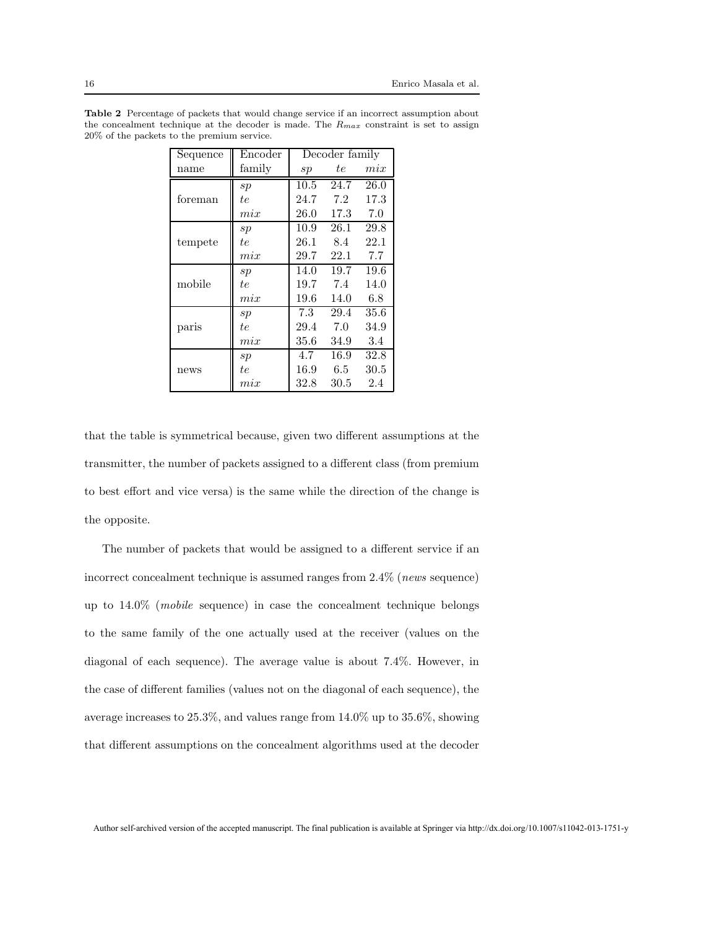| Sequence | Encoder | Decoder family |      |      |
|----------|---------|----------------|------|------|
| name     | family  | $_{sp}$        | tе   | mix  |
|          | sp      | 10.5           | 24.7 | 26.0 |
| foreman  | te      | 24.7           | 7.2  | 17.3 |
|          | mix     | 26.0           | 17.3 | 7.0  |
|          | $_{sp}$ | 10.9           | 26.1 | 29.8 |
| tempete  | tе      | 26.1           | 8.4  | 22.1 |
|          | mix     | 29.7           | 22.1 | 7.7  |
|          | sp      | 14.0           | 19.7 | 19.6 |
| mobile   | tе      | 19.7           | 7.4  | 14.0 |
|          | mix     | 19.6           | 14.0 | 6.8  |
|          | sp      | 7.3            | 29.4 | 35.6 |
| paris    | tе      | 29.4           | 7.0  | 34.9 |
|          | mix     | 35.6           | 34.9 | 3.4  |
|          | $_{sp}$ | 4.7            | 16.9 | 32.8 |
| news     | te      | 16.9           | 6.5  | 30.5 |
|          | mix     | 32.8           | 30.5 | 2.4  |

Table 2 Percentage of packets that would change service if an incorrect assumption about the concealment technique at the decoder is made. The  $R_{max}$  constraint is set to assign 20% of the packets to the premium service.

that the table is symmetrical because, given two different assumptions at the transmitter, the number of packets assigned to a different class (from premium to best effort and vice versa) is the same while the direction of the change is the opposite.

The number of packets that would be assigned to a different service if an incorrect concealment technique is assumed ranges from 2.4% (news sequence) up to 14.0% (mobile sequence) in case the concealment technique belongs to the same family of the one actually used at the receiver (values on the diagonal of each sequence). The average value is about 7.4%. However, in the case of different families (values not on the diagonal of each sequence), the average increases to 25.3%, and values range from 14.0% up to 35.6%, showing that different assumptions on the concealment algorithms used at the decoder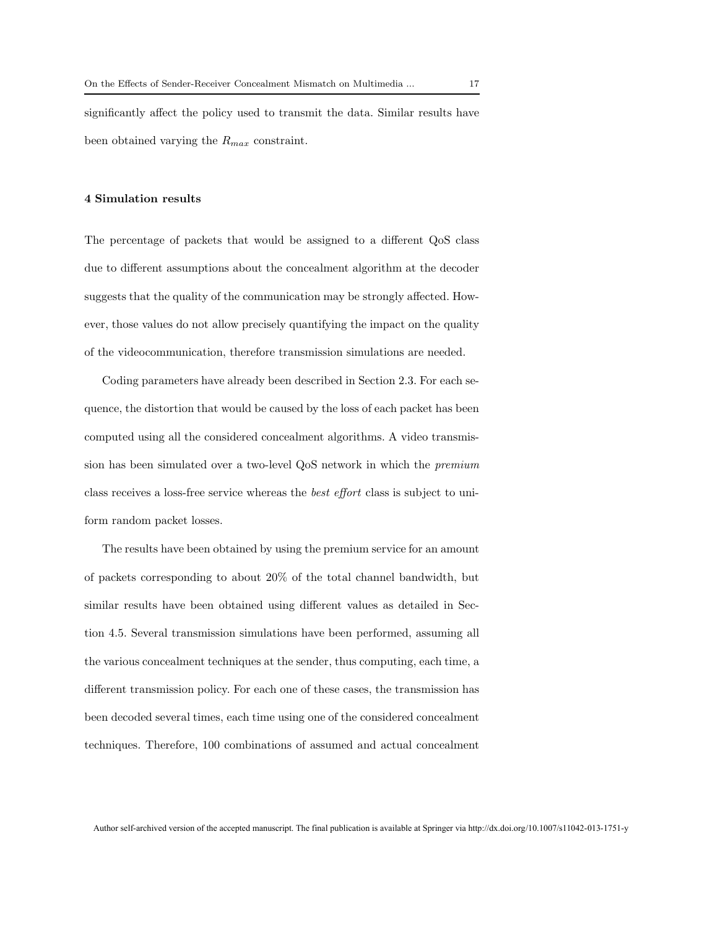significantly affect the policy used to transmit the data. Similar results have been obtained varying the  $R_{max}$  constraint.

#### 4 Simulation results

The percentage of packets that would be assigned to a different QoS class due to different assumptions about the concealment algorithm at the decoder suggests that the quality of the communication may be strongly affected. However, those values do not allow precisely quantifying the impact on the quality of the videocommunication, therefore transmission simulations are needed.

Coding parameters have already been described in Section 2.3. For each sequence, the distortion that would be caused by the loss of each packet has been computed using all the considered concealment algorithms. A video transmission has been simulated over a two-level QoS network in which the premium class receives a loss-free service whereas the best effort class is subject to uniform random packet losses.

The results have been obtained by using the premium service for an amount of packets corresponding to about 20% of the total channel bandwidth, but similar results have been obtained using different values as detailed in Section 4.5. Several transmission simulations have been performed, assuming all the various concealment techniques at the sender, thus computing, each time, a different transmission policy. For each one of these cases, the transmission has been decoded several times, each time using one of the considered concealment techniques. Therefore, 100 combinations of assumed and actual concealment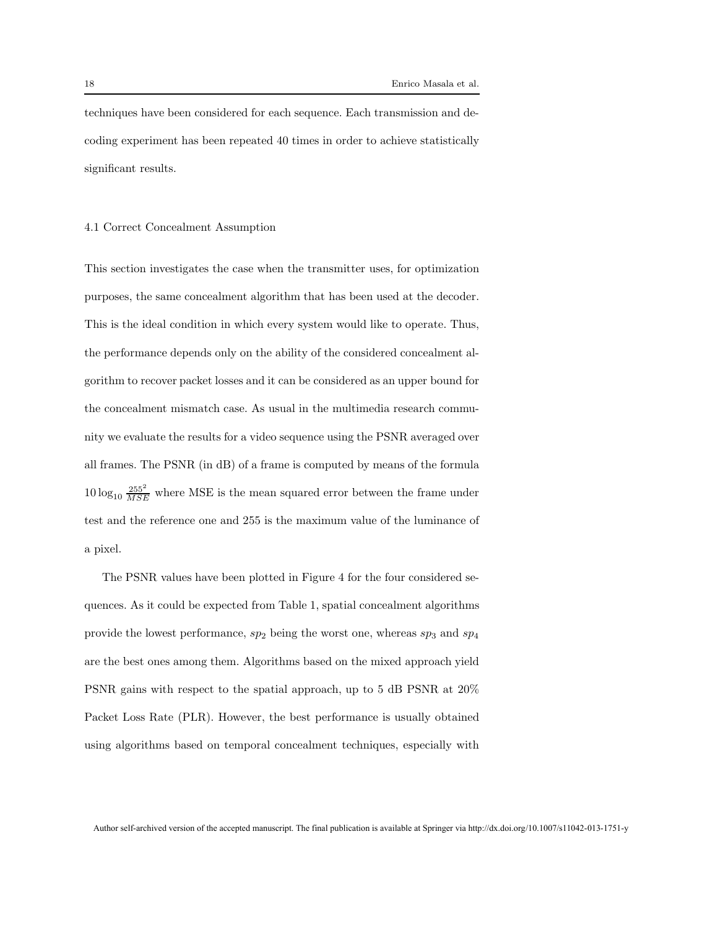techniques have been considered for each sequence. Each transmission and decoding experiment has been repeated 40 times in order to achieve statistically significant results.

#### 4.1 Correct Concealment Assumption

This section investigates the case when the transmitter uses, for optimization purposes, the same concealment algorithm that has been used at the decoder. This is the ideal condition in which every system would like to operate. Thus, the performance depends only on the ability of the considered concealment algorithm to recover packet losses and it can be considered as an upper bound for the concealment mismatch case. As usual in the multimedia research community we evaluate the results for a video sequence using the PSNR averaged over all frames. The PSNR (in dB) of a frame is computed by means of the formula  $10 \log_{10} \frac{255^2}{MSE}$  where MSE is the mean squared error between the frame under test and the reference one and 255 is the maximum value of the luminance of a pixel.

The PSNR values have been plotted in Figure 4 for the four considered sequences. As it could be expected from Table 1, spatial concealment algorithms provide the lowest performance,  $sp_2$  being the worst one, whereas  $sp_3$  and  $sp_4$ are the best ones among them. Algorithms based on the mixed approach yield PSNR gains with respect to the spatial approach, up to 5 dB PSNR at 20% Packet Loss Rate (PLR). However, the best performance is usually obtained using algorithms based on temporal concealment techniques, especially with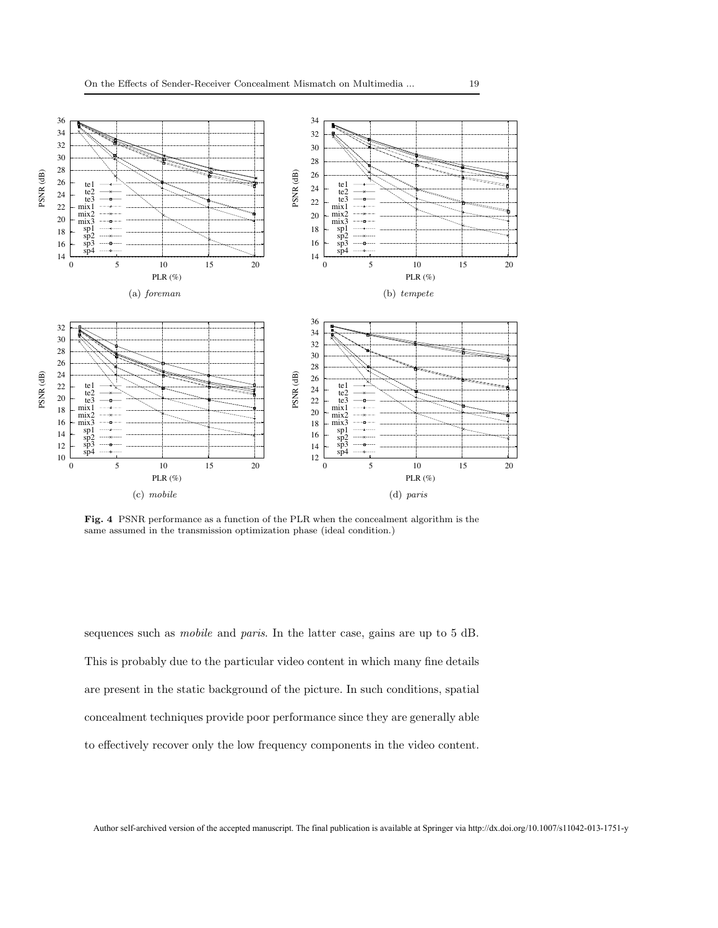

Fig. 4 PSNR performance as a function of the PLR when the concealment algorithm is the same assumed in the transmission optimization phase (ideal condition.)

sequences such as mobile and paris. In the latter case, gains are up to 5 dB. This is probably due to the particular video content in which many fine details are present in the static background of the picture. In such conditions, spatial concealment techniques provide poor performance since they are generally able to effectively recover only the low frequency components in the video content.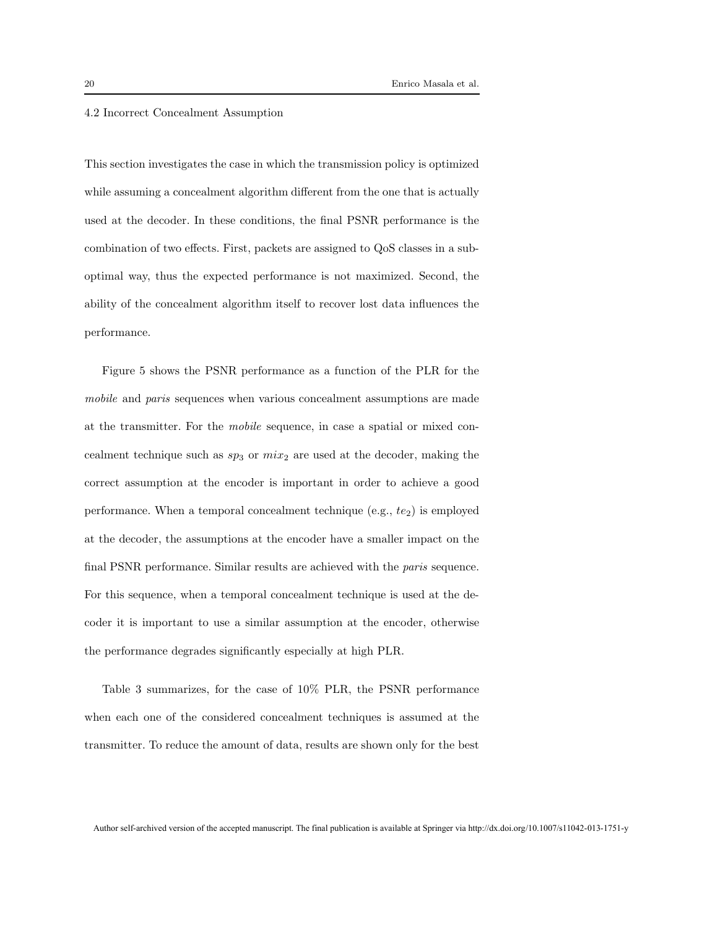#### 4.2 Incorrect Concealment Assumption

This section investigates the case in which the transmission policy is optimized while assuming a concealment algorithm different from the one that is actually used at the decoder. In these conditions, the final PSNR performance is the combination of two effects. First, packets are assigned to QoS classes in a suboptimal way, thus the expected performance is not maximized. Second, the ability of the concealment algorithm itself to recover lost data influences the performance.

Figure 5 shows the PSNR performance as a function of the PLR for the mobile and paris sequences when various concealment assumptions are made at the transmitter. For the mobile sequence, in case a spatial or mixed concealment technique such as  $sp_3$  or  $mix_2$  are used at the decoder, making the correct assumption at the encoder is important in order to achieve a good performance. When a temporal concealment technique  $(e.g., te<sub>2</sub>)$  is employed at the decoder, the assumptions at the encoder have a smaller impact on the final PSNR performance. Similar results are achieved with the paris sequence. For this sequence, when a temporal concealment technique is used at the decoder it is important to use a similar assumption at the encoder, otherwise the performance degrades significantly especially at high PLR.

Table 3 summarizes, for the case of 10% PLR, the PSNR performance when each one of the considered concealment techniques is assumed at the transmitter. To reduce the amount of data, results are shown only for the best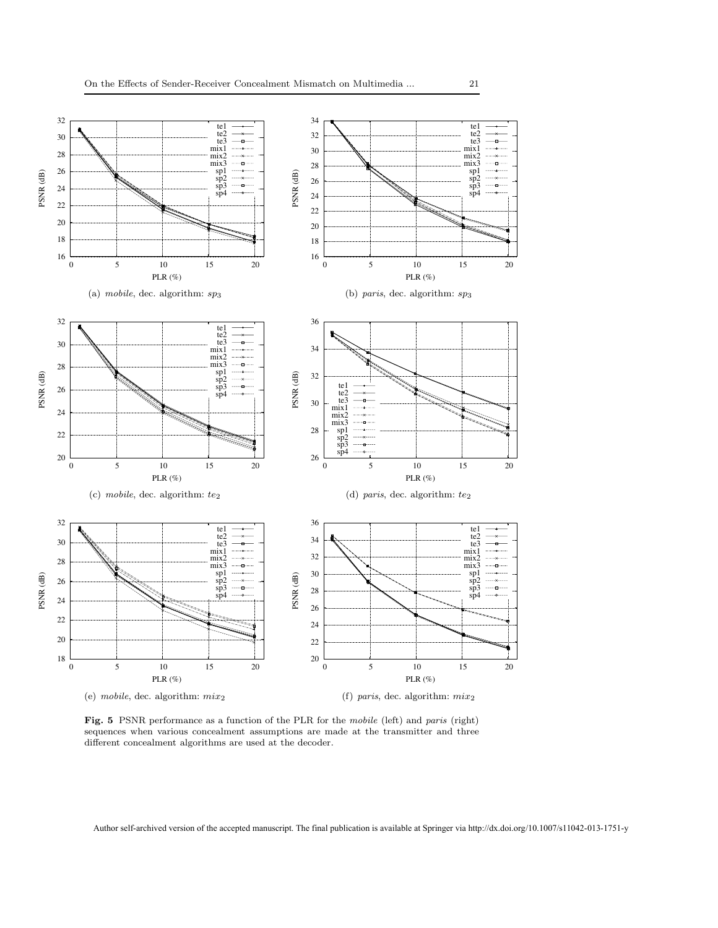

Fig. 5 PSNR performance as a function of the PLR for the mobile (left) and paris (right) sequences when various concealment assumptions are made at the transmitter and three different concealment algorithms are used at the decoder.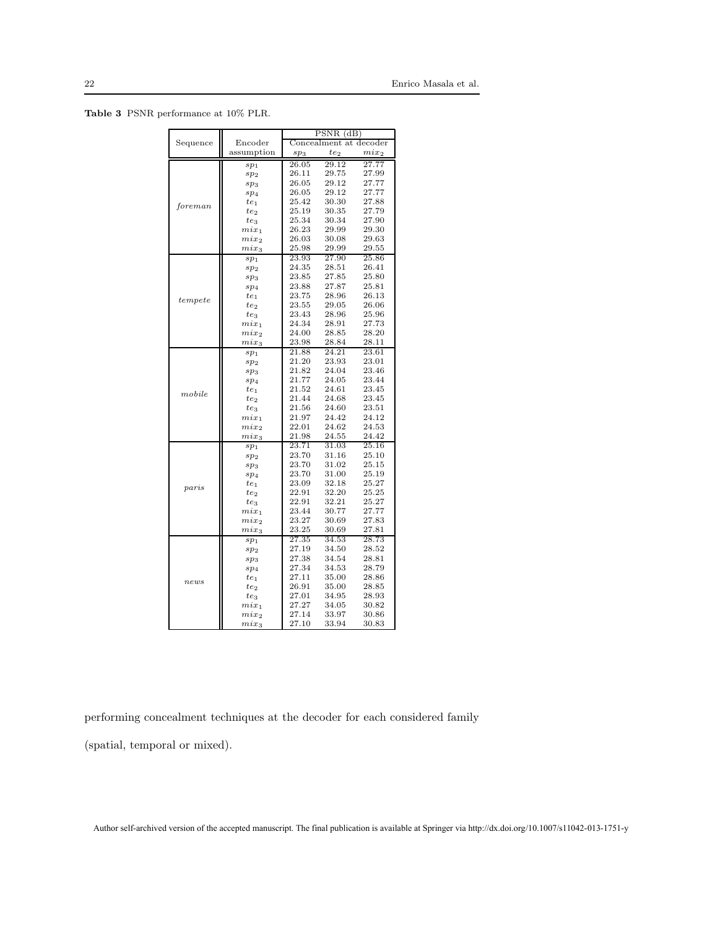Table 3 PSNR performance at 10% PLR.

|            |                                    | $\overline{\text{PSNR}(\text{dB})}$ |                |                |  |
|------------|------------------------------------|-------------------------------------|----------------|----------------|--|
| Sequence   | Encoder                            | Concealment at decoder              |                |                |  |
|            | assumption                         | te <sub>2</sub><br>sp <sub>3</sub>  |                | $mix_2$        |  |
|            | sp <sub>1</sub>                    | 26.05                               | 29.12          | 27.77          |  |
|            | sp <sub>2</sub>                    | 26.11                               | 29.75          | 27.99          |  |
|            | sp <sub>3</sub>                    | 26.05                               | 29.12          | 27.77          |  |
|            | sp <sub>4</sub>                    | 26.05                               | 29.12          | 27.77          |  |
| foreman    | $te_1$                             | 25.42                               | 30.30          | 27.88          |  |
|            | te <sub>2</sub>                    | 25.19                               | 30.35          | 27.79          |  |
|            | te <sub>3</sub>                    | 25.34                               | 30.34          | 27.90          |  |
|            | $mix_1$                            | 26.23                               | 29.99          | 29.30          |  |
|            | $mix_2$                            | 26.03                               | 30.08          | 29.63          |  |
|            | $mix_3$                            | 25.98                               | 29.99          | 29.55          |  |
|            | sp <sub>1</sub>                    | 23.93                               | 27.90          | 25.86          |  |
|            | sp <sub>2</sub>                    | 24.35                               | 28.51          | 26.41          |  |
|            | sp <sub>3</sub>                    | 23.85                               | 27.85          | 25.80          |  |
|            | sp <sub>4</sub>                    | 23.88                               | 27.87          | 25.81          |  |
| tempete    | $te_1$                             | 23.75                               | 28.96          | 26.13          |  |
|            | te <sub>2</sub>                    | 23.55                               | 29.05          | 26.06          |  |
|            | te <sub>3</sub>                    | 23.43                               | 28.96          | 25.96          |  |
|            | $mix_1$                            | 24.34                               | 28.91          | 27.73          |  |
|            | $mix_2$                            | 24.00                               | 28.85          | 28.20          |  |
|            | $mix_3$                            | 23.98                               | 28.84          | 28.11          |  |
|            | sp <sub>1</sub>                    | 21.88                               | 24.21          | 23.61          |  |
|            | sp <sub>2</sub>                    | 21.20                               | 23.93          | 23.01          |  |
|            | sp <sub>3</sub>                    | 21.82                               | 24.04          | 23.46          |  |
|            | sp <sub>4</sub>                    | 21.77                               | 24.05          | 23.44          |  |
| mobile     | $te_1$                             | 21.52                               | 24.61          | 23.45          |  |
|            | $te_2$                             | 21.44                               | 24.68          | 23.45          |  |
|            | te <sub>3</sub>                    | 21.56                               | 24.60<br>24.42 | 23.51<br>24.12 |  |
|            | $mix_1$                            | 21.97<br>22.01                      | 24.62          | 24.53          |  |
|            | $mix_2$                            | 21.98                               | 24.55          | 24.42          |  |
|            | $mix_3$                            | 23.71                               | 31.03          | 25.16          |  |
| $_{parts}$ | sp <sub>1</sub>                    | 23.70                               | 31.16          | 25.10          |  |
|            | sp <sub>2</sub><br>sp <sub>3</sub> | 23.70                               | 31.02          | 25.15          |  |
|            | sp <sub>4</sub>                    | 23.70                               | 31.00          | 25.19          |  |
|            | $te_1$                             | 23.09                               | 32.18          | 25.27          |  |
|            | te <sub>2</sub>                    | 22.91                               | 32.20          | 25.25          |  |
|            | $te_3$                             | 22.91                               | 32.21          | 25.27          |  |
|            | $mix_1$                            | 23.44                               | 30.77          | 27.77          |  |
|            | $mix_2$                            | 23.27                               | 30.69          | 27.83          |  |
|            | $mix_3$                            | 23.25                               | 30.69          | 27.81          |  |
| news       | sp <sub>1</sub>                    | 27.35                               | 34.53          | 28.73          |  |
|            | sp <sub>2</sub>                    | 27.19                               | 34.50          | 28.52          |  |
|            | sp <sub>3</sub>                    | 27.38                               | 34.54          | 28.81          |  |
|            | sp <sub>4</sub>                    | 27.34                               | 34.53          | 28.79          |  |
|            | $te_1$                             | 27.11                               | 35.00          | 28.86          |  |
|            | te <sub>2</sub>                    | 26.91                               | 35.00          | 28.85          |  |
|            | $te_3$                             | 27.01                               | 34.95          | 28.93          |  |
|            | $mix_1$                            | 27.27                               | 34.05          | 30.82          |  |
|            | $mix_2$                            | 27.14                               | 33.97          | 30.86          |  |
|            | $mix_3$                            | 27.10                               | 33.94          | 30.83          |  |

performing concealment techniques at the decoder for each considered family

(spatial, temporal or mixed).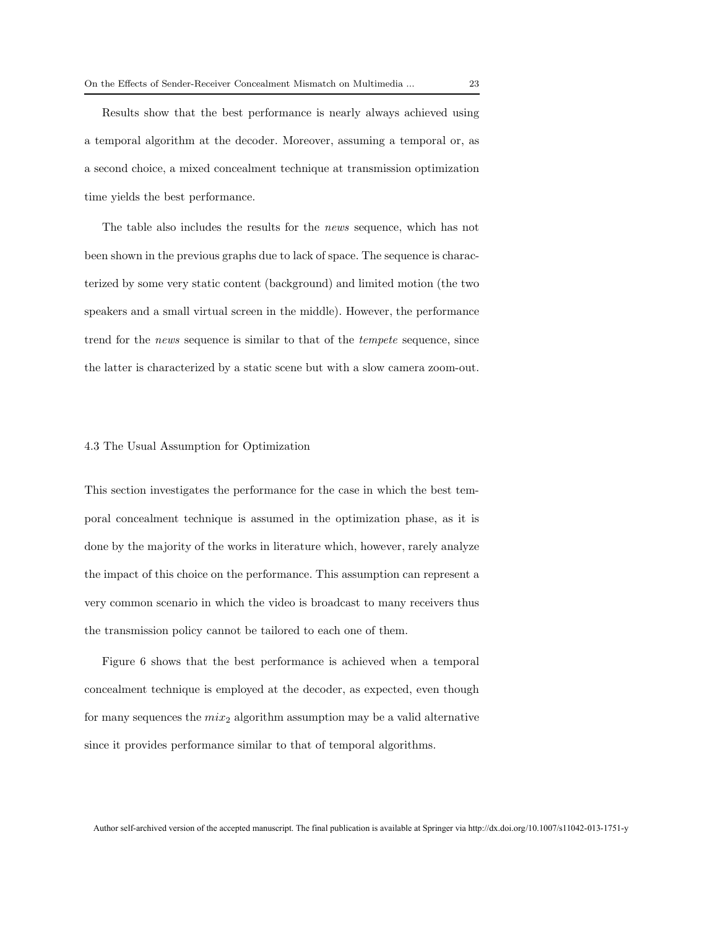Results show that the best performance is nearly always achieved using a temporal algorithm at the decoder. Moreover, assuming a temporal or, as a second choice, a mixed concealment technique at transmission optimization time yields the best performance.

The table also includes the results for the news sequence, which has not been shown in the previous graphs due to lack of space. The sequence is characterized by some very static content (background) and limited motion (the two speakers and a small virtual screen in the middle). However, the performance trend for the news sequence is similar to that of the tempete sequence, since the latter is characterized by a static scene but with a slow camera zoom-out.

#### 4.3 The Usual Assumption for Optimization

This section investigates the performance for the case in which the best temporal concealment technique is assumed in the optimization phase, as it is done by the majority of the works in literature which, however, rarely analyze the impact of this choice on the performance. This assumption can represent a very common scenario in which the video is broadcast to many receivers thus the transmission policy cannot be tailored to each one of them.

Figure 6 shows that the best performance is achieved when a temporal concealment technique is employed at the decoder, as expected, even though for many sequences the  $mix_2$  algorithm assumption may be a valid alternative since it provides performance similar to that of temporal algorithms.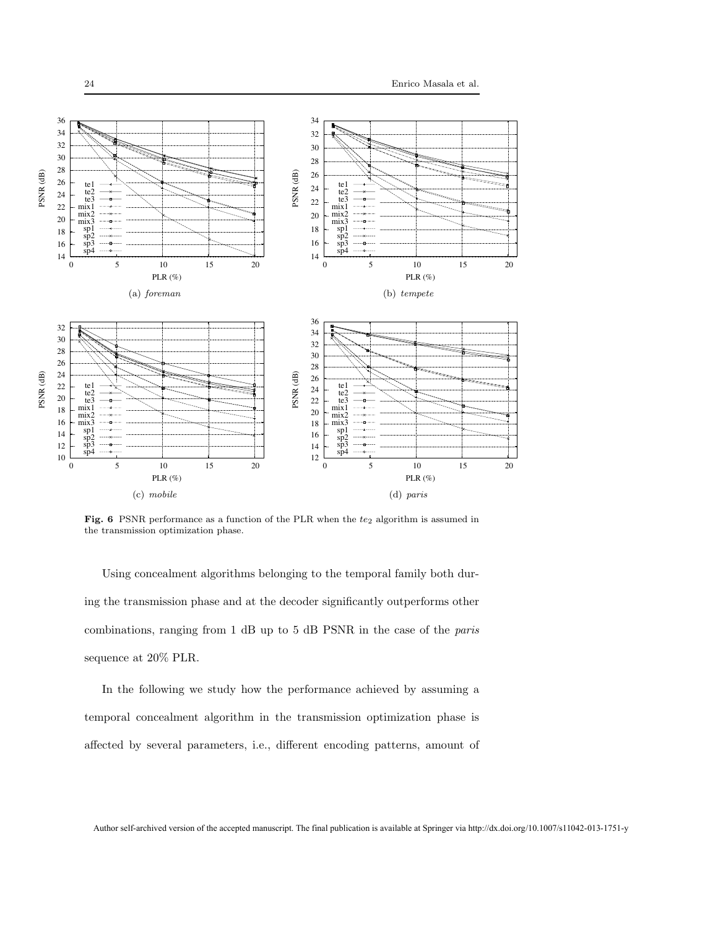

Fig. 6 PSNR performance as a function of the PLR when the  $te_2$  algorithm is assumed in the transmission optimization phase.

Using concealment algorithms belonging to the temporal family both during the transmission phase and at the decoder significantly outperforms other combinations, ranging from 1 dB up to 5 dB PSNR in the case of the paris sequence at 20% PLR.

In the following we study how the performance achieved by assuming a temporal concealment algorithm in the transmission optimization phase is affected by several parameters, i.e., different encoding patterns, amount of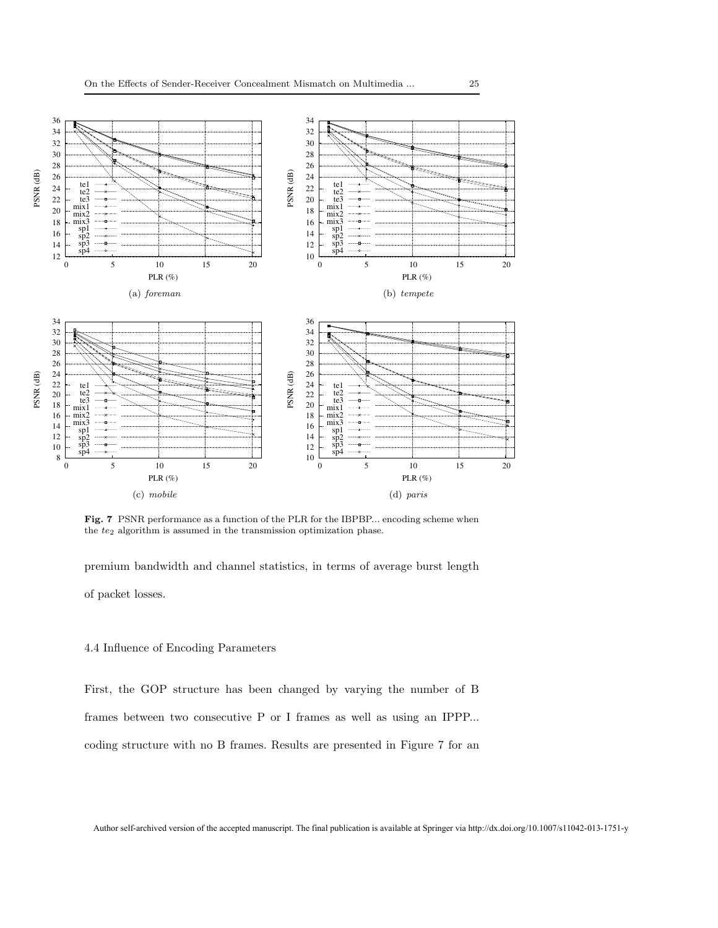

Fig. 7 PSNR performance as a function of the PLR for the IBPBP... encoding scheme when the  $te_2$  algorithm is assumed in the transmission optimization phase.

premium bandwidth and channel statistics, in terms of average burst length of packet losses.

#### 4.4 Influence of Encoding Parameters

First, the GOP structure has been changed by varying the number of B frames between two consecutive P or I frames as well as using an IPPP... coding structure with no B frames. Results are presented in Figure 7 for an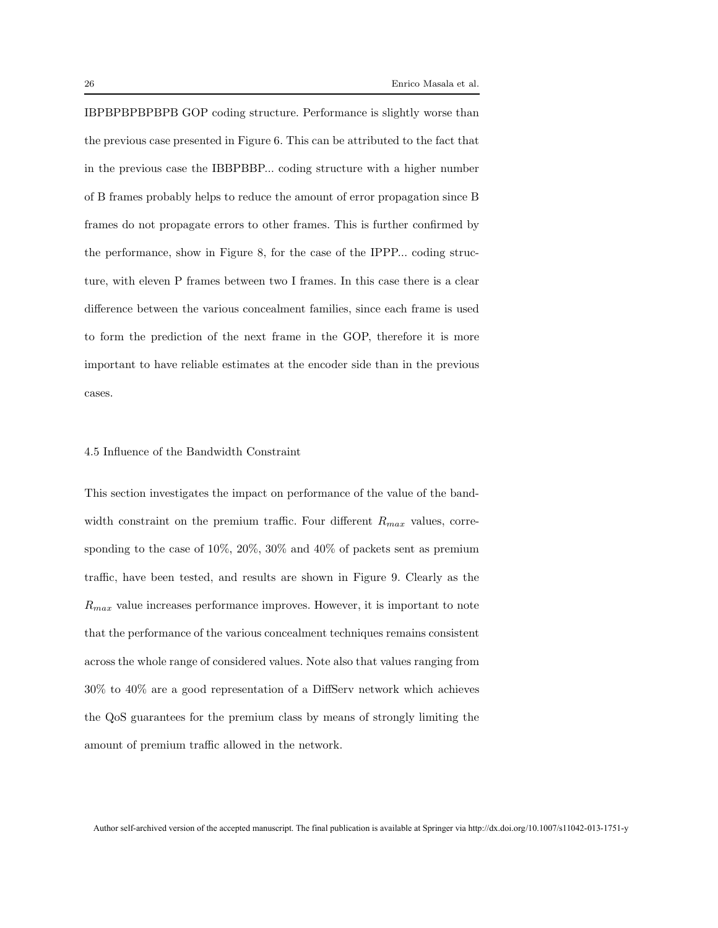IBPBPBPBPBPB GOP coding structure. Performance is slightly worse than the previous case presented in Figure 6. This can be attributed to the fact that in the previous case the IBBPBBP... coding structure with a higher number of B frames probably helps to reduce the amount of error propagation since B frames do not propagate errors to other frames. This is further confirmed by the performance, show in Figure 8, for the case of the IPPP... coding structure, with eleven P frames between two I frames. In this case there is a clear difference between the various concealment families, since each frame is used to form the prediction of the next frame in the GOP, therefore it is more important to have reliable estimates at the encoder side than in the previous cases.

#### 4.5 Influence of the Bandwidth Constraint

This section investigates the impact on performance of the value of the bandwidth constraint on the premium traffic. Four different  $R_{max}$  values, corresponding to the case of 10%, 20%, 30% and 40% of packets sent as premium traffic, have been tested, and results are shown in Figure 9. Clearly as the  $R_{max}$  value increases performance improves. However, it is important to note that the performance of the various concealment techniques remains consistent across the whole range of considered values. Note also that values ranging from 30% to 40% are a good representation of a DiffServ network which achieves the QoS guarantees for the premium class by means of strongly limiting the amount of premium traffic allowed in the network.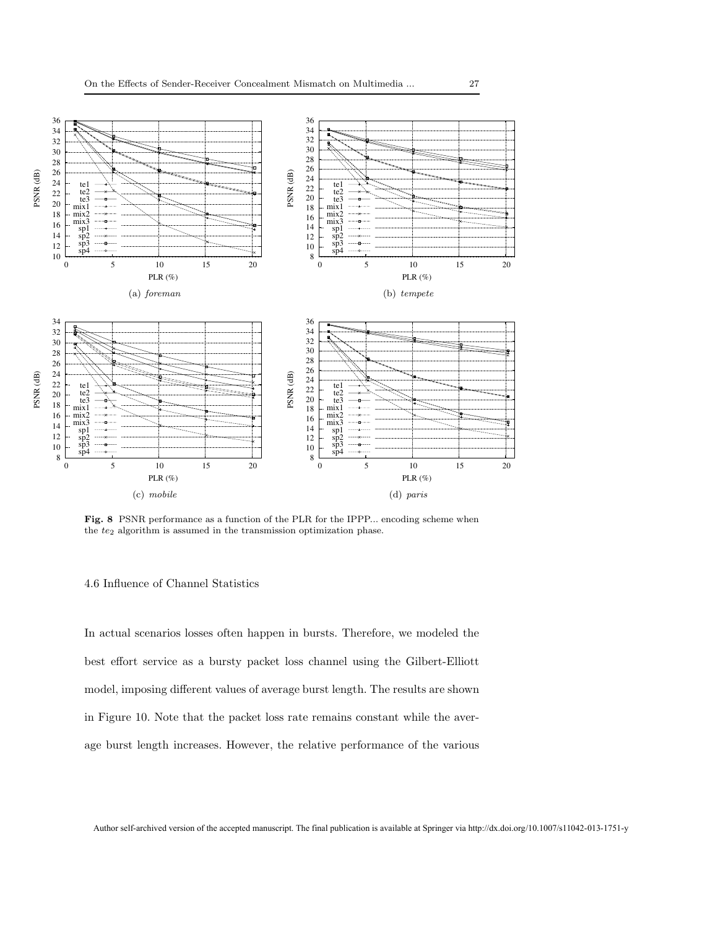

Fig. 8 PSNR performance as a function of the PLR for the IPPP... encoding scheme when the  $te_2$  algorithm is assumed in the transmission optimization phase.

#### 4.6 Influence of Channel Statistics

In actual scenarios losses often happen in bursts. Therefore, we modeled the best effort service as a bursty packet loss channel using the Gilbert-Elliott model, imposing different values of average burst length. The results are shown in Figure 10. Note that the packet loss rate remains constant while the average burst length increases. However, the relative performance of the various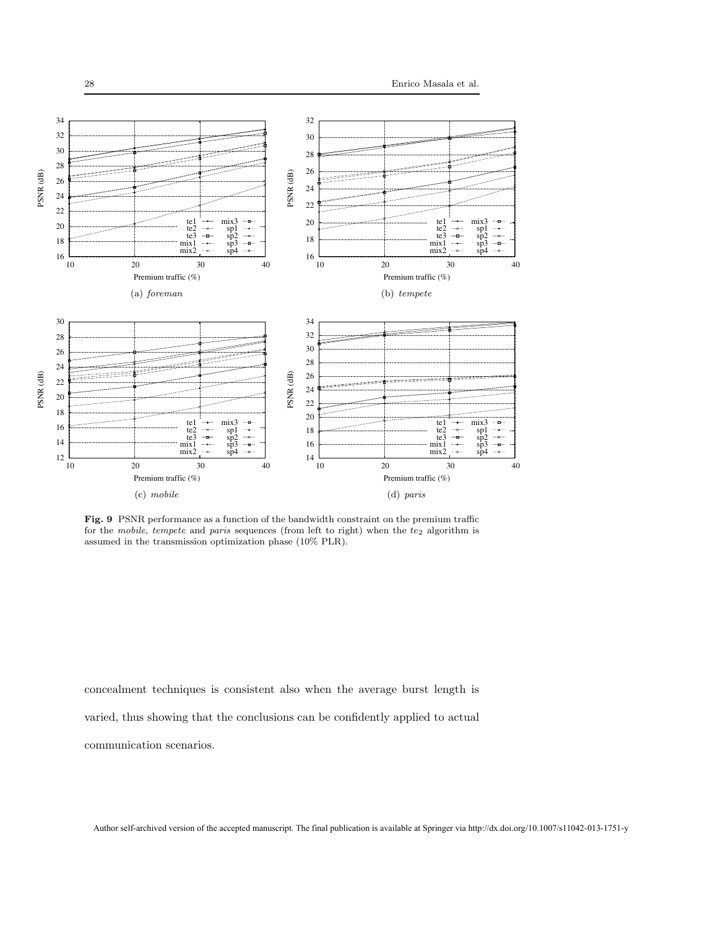

Fig. 9 PSNR performance as a function of the bandwidth constraint on the premium traffic for the mobile, tempete and paris sequences (from left to right) when the  $te_2$  algorithm is assumed in the transmission optimization phase (10% PLR).

concealment techniques is consistent also when the average burst length is varied, thus showing that the conclusions can be confidently applied to actual

communication scenarios.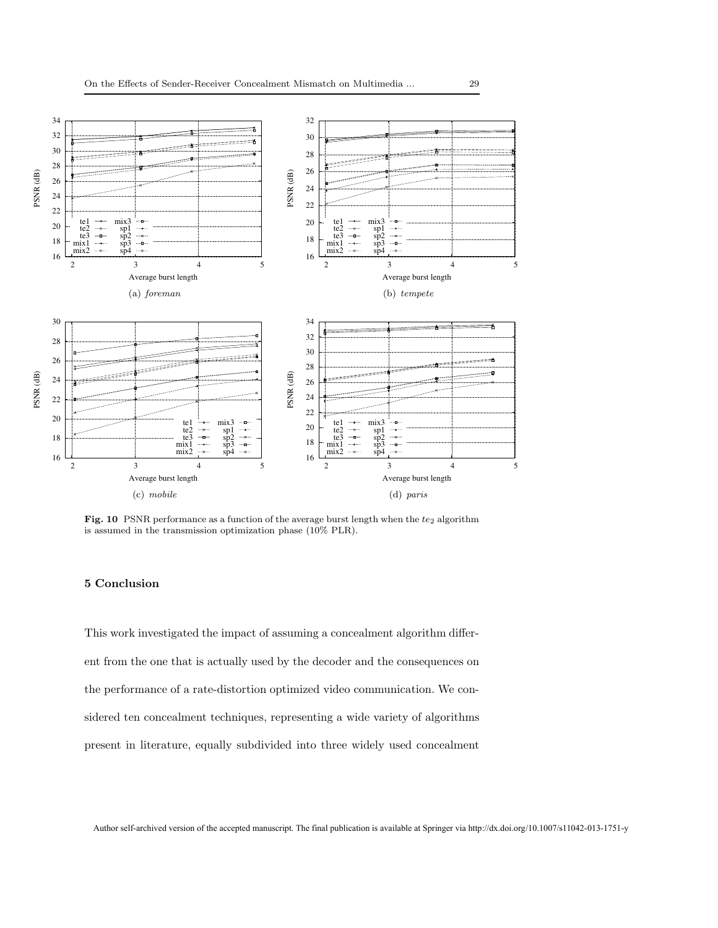

Fig. 10 PSNR performance as a function of the average burst length when the  $te_2$  algorithm is assumed in the transmission optimization phase (10% PLR).

#### 5 Conclusion

This work investigated the impact of assuming a concealment algorithm different from the one that is actually used by the decoder and the consequences on the performance of a rate-distortion optimized video communication. We considered ten concealment techniques, representing a wide variety of algorithms present in literature, equally subdivided into three widely used concealment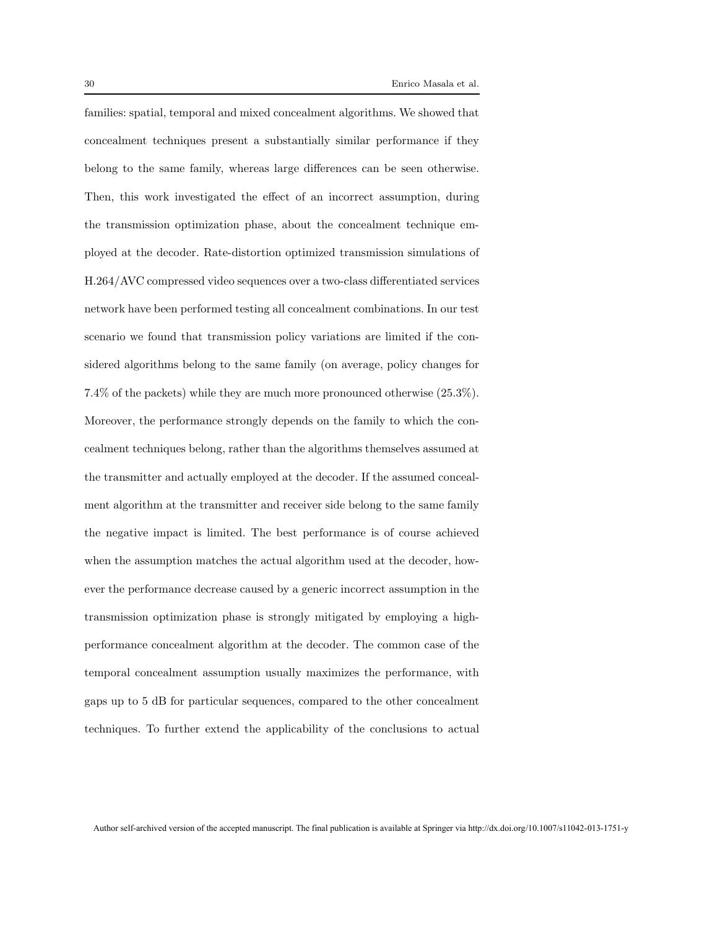families: spatial, temporal and mixed concealment algorithms. We showed that concealment techniques present a substantially similar performance if they belong to the same family, whereas large differences can be seen otherwise. Then, this work investigated the effect of an incorrect assumption, during the transmission optimization phase, about the concealment technique employed at the decoder. Rate-distortion optimized transmission simulations of H.264/AVC compressed video sequences over a two-class differentiated services network have been performed testing all concealment combinations. In our test scenario we found that transmission policy variations are limited if the considered algorithms belong to the same family (on average, policy changes for 7.4% of the packets) while they are much more pronounced otherwise (25.3%). Moreover, the performance strongly depends on the family to which the concealment techniques belong, rather than the algorithms themselves assumed at the transmitter and actually employed at the decoder. If the assumed concealment algorithm at the transmitter and receiver side belong to the same family the negative impact is limited. The best performance is of course achieved when the assumption matches the actual algorithm used at the decoder, however the performance decrease caused by a generic incorrect assumption in the transmission optimization phase is strongly mitigated by employing a highperformance concealment algorithm at the decoder. The common case of the temporal concealment assumption usually maximizes the performance, with gaps up to 5 dB for particular sequences, compared to the other concealment techniques. To further extend the applicability of the conclusions to actual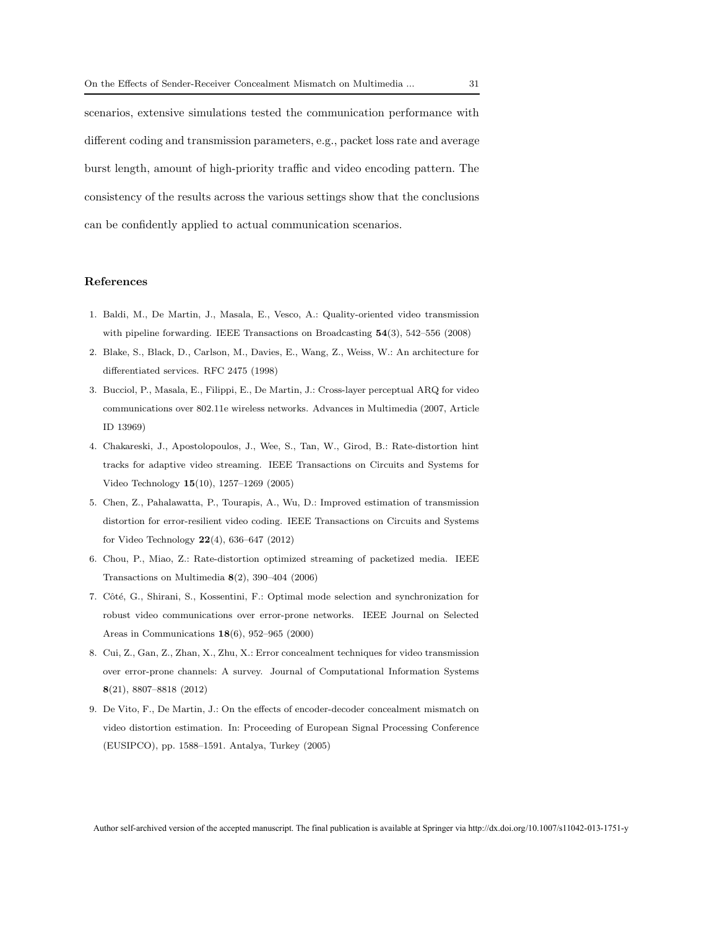scenarios, extensive simulations tested the communication performance with different coding and transmission parameters, e.g., packet loss rate and average burst length, amount of high-priority traffic and video encoding pattern. The consistency of the results across the various settings show that the conclusions can be confidently applied to actual communication scenarios.

#### References

- 1. Baldi, M., De Martin, J., Masala, E., Vesco, A.: Quality-oriented video transmission with pipeline forwarding. IEEE Transactions on Broadcasting 54(3), 542–556 (2008)
- 2. Blake, S., Black, D., Carlson, M., Davies, E., Wang, Z., Weiss, W.: An architecture for differentiated services. RFC 2475 (1998)
- 3. Bucciol, P., Masala, E., Filippi, E., De Martin, J.: Cross-layer perceptual ARQ for video communications over 802.11e wireless networks. Advances in Multimedia (2007, Article ID 13969)
- 4. Chakareski, J., Apostolopoulos, J., Wee, S., Tan, W., Girod, B.: Rate-distortion hint tracks for adaptive video streaming. IEEE Transactions on Circuits and Systems for Video Technology 15(10), 1257–1269 (2005)
- 5. Chen, Z., Pahalawatta, P., Tourapis, A., Wu, D.: Improved estimation of transmission distortion for error-resilient video coding. IEEE Transactions on Circuits and Systems for Video Technology  $22(4)$ , 636–647 (2012)
- 6. Chou, P., Miao, Z.: Rate-distortion optimized streaming of packetized media. IEEE Transactions on Multimedia  $8(2)$ , 390–404 (2006)
- 7. Côté, G., Shirani, S., Kossentini, F.: Optimal mode selection and synchronization for robust video communications over error-prone networks. IEEE Journal on Selected Areas in Communications 18(6), 952–965 (2000)
- 8. Cui, Z., Gan, Z., Zhan, X., Zhu, X.: Error concealment techniques for video transmission over error-prone channels: A survey. Journal of Computational Information Systems 8(21), 8807–8818 (2012)
- 9. De Vito, F., De Martin, J.: On the effects of encoder-decoder concealment mismatch on video distortion estimation. In: Proceeding of European Signal Processing Conference (EUSIPCO), pp. 1588–1591. Antalya, Turkey (2005)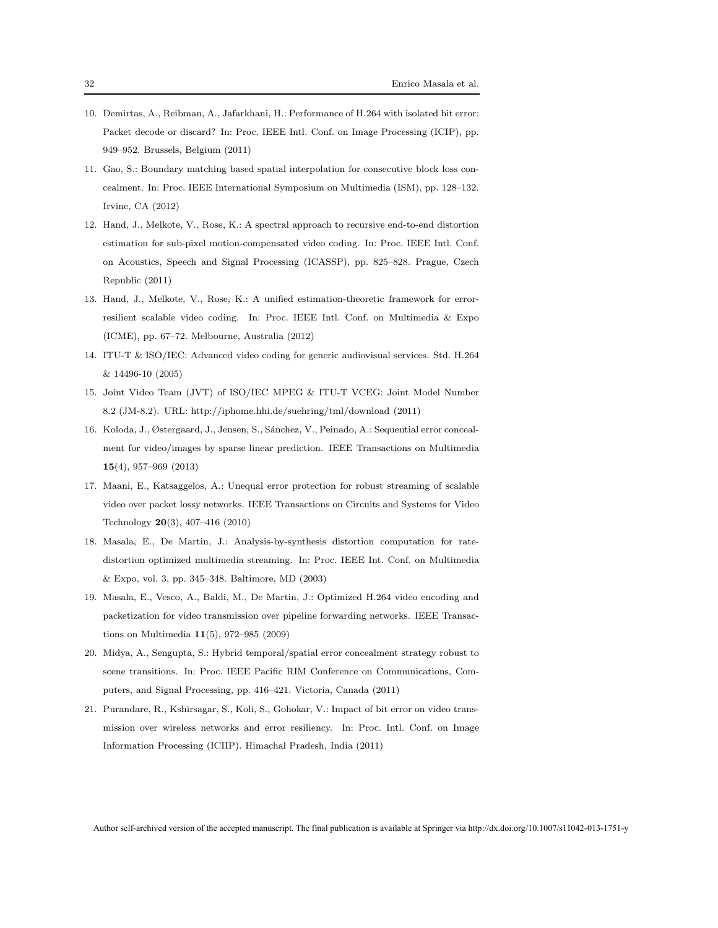- 10. Demirtas, A., Reibman, A., Jafarkhani, H.: Performance of H.264 with isolated bit error: Packet decode or discard? In: Proc. IEEE Intl. Conf. on Image Processing (ICIP), pp. 949–952. Brussels, Belgium (2011)
- 11. Gao, S.: Boundary matching based spatial interpolation for consecutive block loss concealment. In: Proc. IEEE International Symposium on Multimedia (ISM), pp. 128–132. Irvine, CA (2012)
- 12. Hand, J., Melkote, V., Rose, K.: A spectral approach to recursive end-to-end distortion estimation for sub-pixel motion-compensated video coding. In: Proc. IEEE Intl. Conf. on Acoustics, Speech and Signal Processing (ICASSP), pp. 825–828. Prague, Czech Republic (2011)
- 13. Hand, J., Melkote, V., Rose, K.: A unified estimation-theoretic framework for errorresilient scalable video coding. In: Proc. IEEE Intl. Conf. on Multimedia & Expo (ICME), pp. 67–72. Melbourne, Australia (2012)
- 14. ITU-T & ISO/IEC: Advanced video coding for generic audiovisual services. Std. H.264 & 14496-10 (2005)
- 15. Joint Video Team (JVT) of ISO/IEC MPEG & ITU-T VCEG: Joint Model Number 8.2 (JM-8.2). URL: http://iphome.hhi.de/suehring/tml/download (2011)
- 16. Koloda, J., Østergaard, J., Jensen, S., S´anchez, V., Peinado, A.: Sequential error concealment for video/images by sparse linear prediction. IEEE Transactions on Multimedia 15(4), 957–969 (2013)
- 17. Maani, E., Katsaggelos, A.: Unequal error protection for robust streaming of scalable video over packet lossy networks. IEEE Transactions on Circuits and Systems for Video Technology 20(3), 407–416 (2010)
- 18. Masala, E., De Martin, J.: Analysis-by-synthesis distortion computation for ratedistortion optimized multimedia streaming. In: Proc. IEEE Int. Conf. on Multimedia & Expo, vol. 3, pp. 345–348. Baltimore, MD (2003)
- 19. Masala, E., Vesco, A., Baldi, M., De Martin, J.: Optimized H.264 video encoding and packetization for video transmission over pipeline forwarding networks. IEEE Transactions on Multimedia 11(5), 972–985 (2009)
- 20. Midya, A., Sengupta, S.: Hybrid temporal/spatial error concealment strategy robust to scene transitions. In: Proc. IEEE Pacific RIM Conference on Communications, Computers, and Signal Processing, pp. 416–421. Victoria, Canada (2011)
- 21. Purandare, R., Kshirsagar, S., Koli, S., Gohokar, V.: Impact of bit error on video transmission over wireless networks and error resiliency. In: Proc. Intl. Conf. on Image Information Processing (ICIIP). Himachal Pradesh, India (2011)